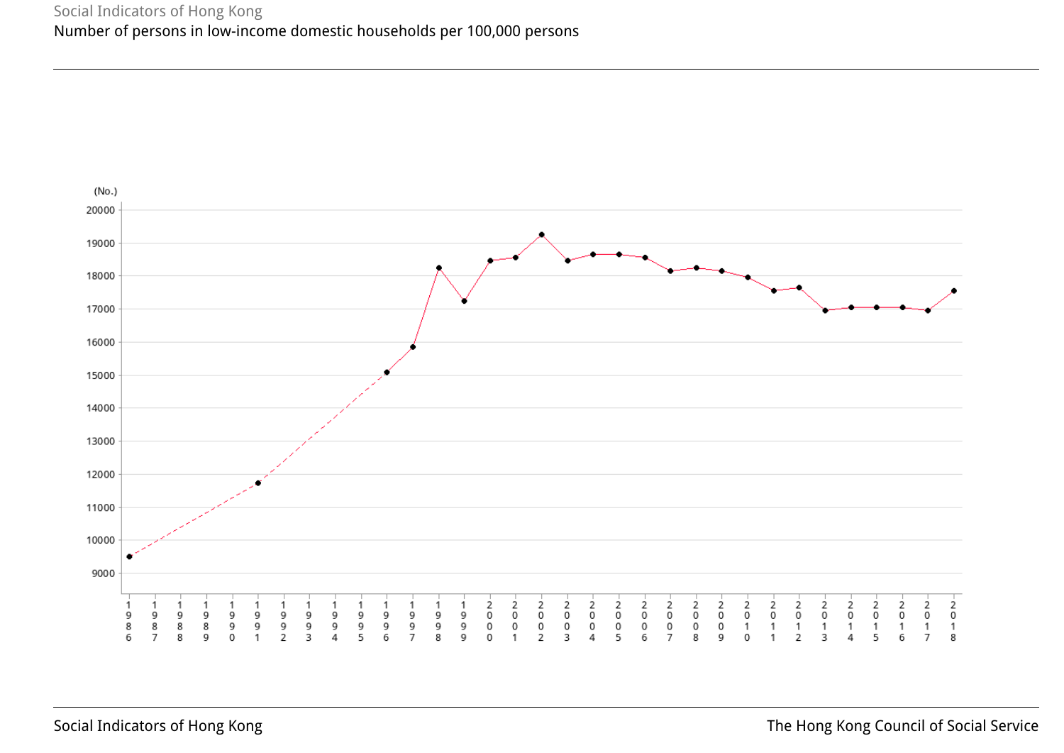